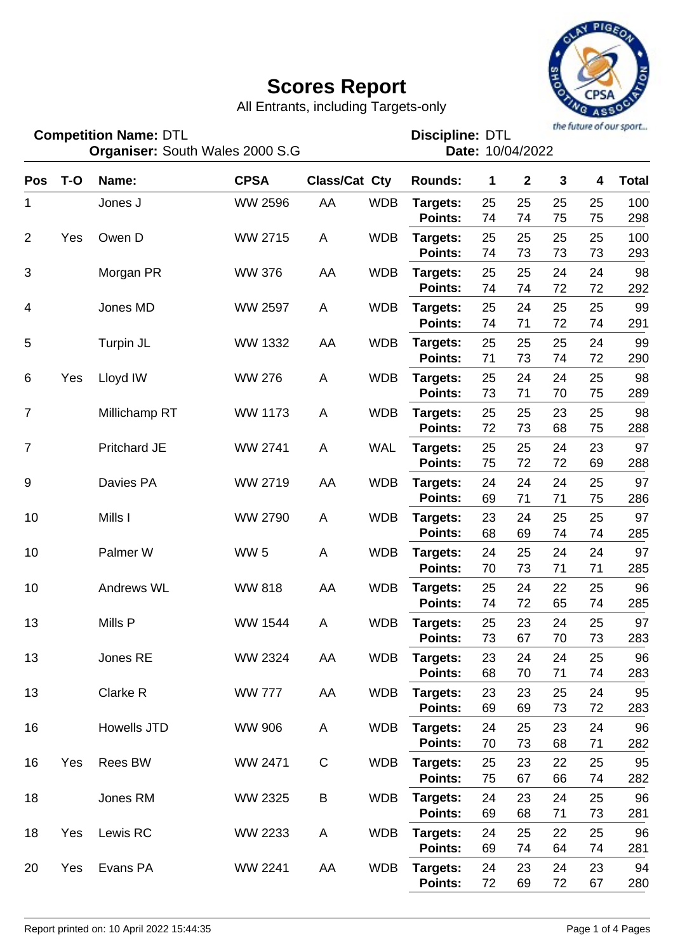

All Entrants, including Targets-only

| <b>Competition Name: DTL</b><br><b>Organiser: South Wales 2000 S.G</b> |       |                     |                |               |            | <b>Discipline: DTL</b><br>Date: 10/04/2022 |          |              |              |          |              |
|------------------------------------------------------------------------|-------|---------------------|----------------|---------------|------------|--------------------------------------------|----------|--------------|--------------|----------|--------------|
| <b>Pos</b>                                                             | $T-O$ | Name:               | <b>CPSA</b>    | Class/Cat Cty |            | <b>Rounds:</b>                             | 1        | $\mathbf{2}$ | $\mathbf{3}$ | 4        | <b>Total</b> |
| 1                                                                      |       | Jones J             | <b>WW 2596</b> | AA            | <b>WDB</b> | Targets:<br>Points:                        | 25<br>74 | 25<br>74     | 25<br>75     | 25<br>75 | 100<br>298   |
| $\overline{2}$                                                         | Yes   | Owen D              | WW 2715        | A             | <b>WDB</b> | Targets:<br>Points:                        | 25<br>74 | 25<br>73     | 25<br>73     | 25<br>73 | 100<br>293   |
| 3                                                                      |       | Morgan PR           | <b>WW 376</b>  | AA            | <b>WDB</b> | Targets:<br><b>Points:</b>                 | 25<br>74 | 25<br>74     | 24<br>72     | 24<br>72 | 98<br>292    |
| 4                                                                      |       | Jones MD            | <b>WW 2597</b> | A             | <b>WDB</b> | Targets:<br><b>Points:</b>                 | 25<br>74 | 24<br>71     | 25<br>72     | 25<br>74 | 99<br>291    |
| 5                                                                      |       | Turpin JL           | <b>WW 1332</b> | AA            | <b>WDB</b> | Targets:<br><b>Points:</b>                 | 25<br>71 | 25<br>73     | 25<br>74     | 24<br>72 | 99<br>290    |
| 6                                                                      | Yes   | Lloyd IW            | <b>WW 276</b>  | A             | <b>WDB</b> | Targets:<br><b>Points:</b>                 | 25<br>73 | 24<br>71     | 24<br>70     | 25<br>75 | 98<br>289    |
| $\overline{7}$                                                         |       | Millichamp RT       | <b>WW 1173</b> | A             | <b>WDB</b> | Targets:<br>Points:                        | 25<br>72 | 25<br>73     | 23<br>68     | 25<br>75 | 98<br>288    |
| $\overline{7}$                                                         |       | <b>Pritchard JE</b> | <b>WW 2741</b> | A             | <b>WAL</b> | Targets:<br>Points:                        | 25<br>75 | 25<br>72     | 24<br>72     | 23<br>69 | 97<br>288    |
| 9                                                                      |       | Davies PA           | WW 2719        | AA            | <b>WDB</b> | Targets:<br>Points:                        | 24<br>69 | 24<br>71     | 24<br>71     | 25<br>75 | 97<br>286    |
| 10                                                                     |       | Mills I             | <b>WW 2790</b> | A             | <b>WDB</b> | Targets:<br><b>Points:</b>                 | 23<br>68 | 24<br>69     | 25<br>74     | 25<br>74 | 97<br>285    |
| 10                                                                     |       | Palmer W            | <b>WW 5</b>    | A             | <b>WDB</b> | Targets:<br>Points:                        | 24<br>70 | 25<br>73     | 24<br>71     | 24<br>71 | 97<br>285    |
| 10                                                                     |       | <b>Andrews WL</b>   | <b>WW 818</b>  | AA            | <b>WDB</b> | Targets:<br>Points:                        | 25<br>74 | 24<br>72     | 22<br>65     | 25<br>74 | 96<br>285    |
| 13                                                                     |       | Mills P             | <b>WW 1544</b> | A             | <b>WDB</b> | Targets:<br>Points:                        | 25<br>73 | 23<br>67     | 24<br>70     | 25<br>73 | 97<br>283    |
| 13                                                                     |       | Jones RE            | WW 2324        | AA            | <b>WDB</b> | Targets:<br>Points:                        | 23<br>68 | 24<br>70     | 24<br>71     | 25<br>74 | 96<br>283    |
| 13                                                                     |       | Clarke R            | <b>WW 777</b>  | AA            | <b>WDB</b> | Targets:<br>Points:                        | 23<br>69 | 23<br>69     | 25<br>73     | 24<br>72 | 95<br>283    |
| 16                                                                     |       | Howells JTD         | <b>WW 906</b>  | A             | <b>WDB</b> | Targets:<br>Points:                        | 24<br>70 | 25<br>73     | 23<br>68     | 24<br>71 | 96<br>282    |
| 16                                                                     | Yes   | <b>Rees BW</b>      | WW 2471        | $\mathsf C$   | <b>WDB</b> | Targets:<br>Points:                        | 25<br>75 | 23<br>67     | 22<br>66     | 25<br>74 | 95<br>282    |
| 18                                                                     |       | Jones RM            | WW 2325        | B             | <b>WDB</b> | Targets:<br>Points:                        | 24<br>69 | 23<br>68     | 24<br>71     | 25<br>73 | 96<br>281    |
| 18                                                                     | Yes   | Lewis RC            | WW 2233        | A             | <b>WDB</b> | Targets:<br>Points:                        | 24<br>69 | 25<br>74     | 22<br>64     | 25<br>74 | 96<br>281    |
| 20                                                                     | Yes   | Evans PA            | WW 2241        | AA            | <b>WDB</b> | Targets:<br>Points:                        | 24<br>72 | 23<br>69     | 24<br>72     | 23<br>67 | 94<br>280    |

**Competition Name:**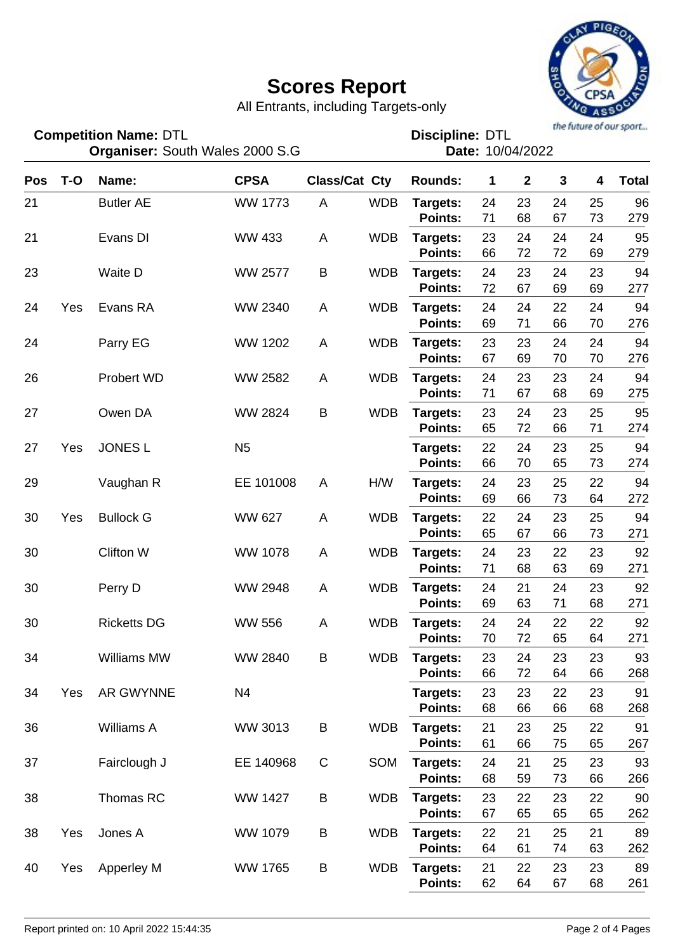

All Entrants, including Targets-only

| <b>Competition Name: DTL</b><br><b>Organiser: South Wales 2000 S.G</b> |       |                    |                |                      |            | the future of our sport<br><b>Discipline: DTL</b><br>Date: 10/04/2022 |          |              |             |          |              |
|------------------------------------------------------------------------|-------|--------------------|----------------|----------------------|------------|-----------------------------------------------------------------------|----------|--------------|-------------|----------|--------------|
| Pos                                                                    | $T-O$ | Name:              | <b>CPSA</b>    | <b>Class/Cat Cty</b> |            | <b>Rounds:</b>                                                        | 1        | $\mathbf{2}$ | $\mathbf 3$ | 4        | <b>Total</b> |
| 21                                                                     |       | <b>Butler AE</b>   | <b>WW 1773</b> | A                    | <b>WDB</b> | Targets:<br><b>Points:</b>                                            | 24<br>71 | 23<br>68     | 24<br>67    | 25<br>73 | 96<br>279    |
| 21                                                                     |       | Evans DI           | <b>WW 433</b>  | A                    | <b>WDB</b> | Targets:<br><b>Points:</b>                                            | 23<br>66 | 24<br>72     | 24<br>72    | 24<br>69 | 95<br>279    |
| 23                                                                     |       | <b>Waite D</b>     | <b>WW 2577</b> | B                    | <b>WDB</b> | Targets:<br><b>Points:</b>                                            | 24<br>72 | 23<br>67     | 24<br>69    | 23<br>69 | 94<br>277    |
| 24                                                                     | Yes   | Evans RA           | WW 2340        | A                    | <b>WDB</b> | Targets:<br><b>Points:</b>                                            | 24<br>69 | 24<br>71     | 22<br>66    | 24<br>70 | 94<br>276    |
| 24                                                                     |       | Parry EG           | <b>WW 1202</b> | A                    | <b>WDB</b> | Targets:<br><b>Points:</b>                                            | 23<br>67 | 23<br>69     | 24<br>70    | 24<br>70 | 94<br>276    |
| 26                                                                     |       | Probert WD         | <b>WW 2582</b> | A                    | <b>WDB</b> | Targets:<br><b>Points:</b>                                            | 24<br>71 | 23<br>67     | 23<br>68    | 24<br>69 | 94<br>275    |
| 27                                                                     |       | Owen DA            | <b>WW 2824</b> | B                    | <b>WDB</b> | Targets:<br><b>Points:</b>                                            | 23<br>65 | 24<br>72     | 23<br>66    | 25<br>71 | 95<br>274    |
| 27                                                                     | Yes   | <b>JONES L</b>     | N <sub>5</sub> |                      |            | Targets:<br><b>Points:</b>                                            | 22<br>66 | 24<br>70     | 23<br>65    | 25<br>73 | 94<br>274    |
| 29                                                                     |       | Vaughan R          | EE 101008      | A                    | H/W        | Targets:<br><b>Points:</b>                                            | 24<br>69 | 23<br>66     | 25<br>73    | 22<br>64 | 94<br>272    |
| 30                                                                     | Yes   | <b>Bullock G</b>   | <b>WW 627</b>  | A                    | <b>WDB</b> | Targets:<br><b>Points:</b>                                            | 22<br>65 | 24<br>67     | 23<br>66    | 25<br>73 | 94<br>271    |
| 30                                                                     |       | <b>Clifton W</b>   | <b>WW 1078</b> | A                    | <b>WDB</b> | Targets:<br><b>Points:</b>                                            | 24<br>71 | 23<br>68     | 22<br>63    | 23<br>69 | 92<br>271    |
| 30                                                                     |       | Perry D            | <b>WW 2948</b> | A                    | <b>WDB</b> | Targets:<br><b>Points:</b>                                            | 24<br>69 | 21<br>63     | 24<br>71    | 23<br>68 | 92<br>271    |
| 30                                                                     |       | <b>Ricketts DG</b> | <b>WW 556</b>  | A                    | <b>WDB</b> | Targets:<br><b>Points:</b>                                            | 24<br>70 | 24<br>72     | 22<br>65    | 22<br>64 | 92<br>271    |
| 34                                                                     |       | Williams MW        | WW 2840        | B                    | <b>WDB</b> | Targets:<br>Points:                                                   | 23<br>66 | 24<br>72     | 23<br>64    | 23<br>66 | 93<br>268    |
| 34                                                                     | Yes   | AR GWYNNE          | N <sub>4</sub> |                      |            | Targets:<br>Points:                                                   | 23<br>68 | 23<br>66     | 22<br>66    | 23<br>68 | 91<br>268    |
| 36                                                                     |       | Williams A         | WW 3013        | B                    | <b>WDB</b> | Targets:<br>Points:                                                   | 21<br>61 | 23<br>66     | 25<br>75    | 22<br>65 | 91<br>267    |
| 37                                                                     |       | Fairclough J       | EE 140968      | C                    | SOM        | Targets:<br>Points:                                                   | 24<br>68 | 21<br>59     | 25<br>73    | 23<br>66 | 93<br>266    |
| 38                                                                     |       | Thomas RC          | <b>WW 1427</b> | B                    | <b>WDB</b> | Targets:<br>Points:                                                   | 23<br>67 | 22<br>65     | 23<br>65    | 22<br>65 | 90<br>262    |
| 38                                                                     | Yes   | Jones A            | WW 1079        | B                    | <b>WDB</b> | Targets:<br>Points:                                                   | 22<br>64 | 21<br>61     | 25<br>74    | 21<br>63 | 89<br>262    |
| 40                                                                     | Yes   | Apperley M         | <b>WW 1765</b> | B                    | <b>WDB</b> | Targets:<br>Points:                                                   | 21<br>62 | 22<br>64     | 23<br>67    | 23<br>68 | 89<br>261    |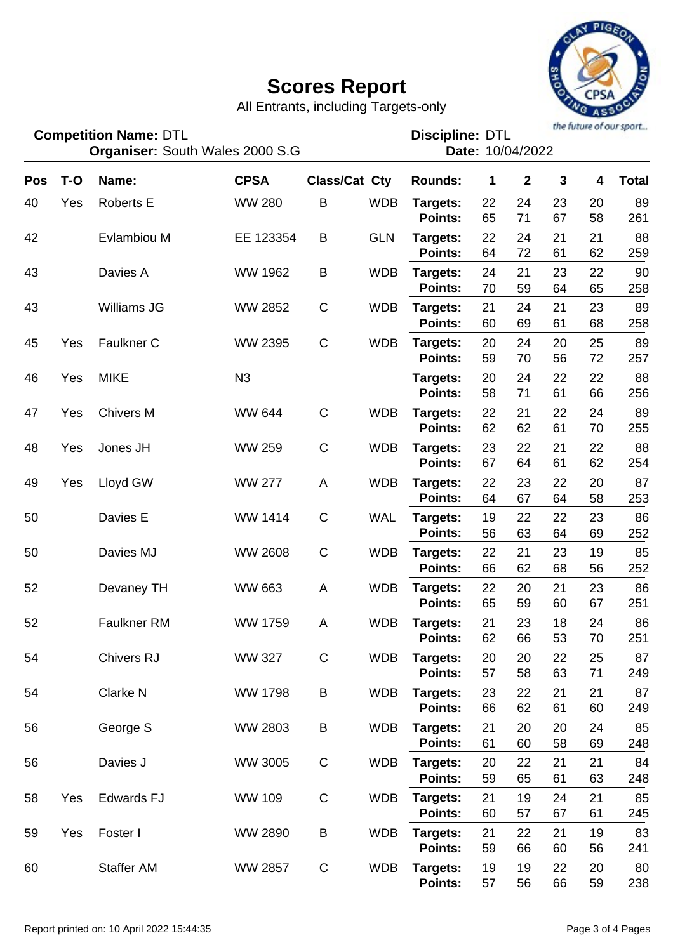

All Entrants, including Targets-only

DTL DTL **Discipline:**

|     |       | Organiser: South Wales 2000 S.G |                |              |                      | Date: 10/04/2022 |              |                |              |    |              |  |
|-----|-------|---------------------------------|----------------|--------------|----------------------|------------------|--------------|----------------|--------------|----|--------------|--|
| Pos | $T-O$ | Name:                           | <b>CPSA</b>    |              | <b>Class/Cat Cty</b> | <b>Rounds:</b>   | $\mathbf{1}$ | $\overline{2}$ | $\mathbf{3}$ | 4  | <b>Total</b> |  |
| 40  | Yes   | <b>Roberts E</b>                | <b>WW 280</b>  | $\mathsf B$  | <b>WDB</b>           | Targets:         | 22           | 24             | 23           | 20 | 89           |  |
|     |       |                                 |                |              |                      | Points:          | 65           | 71             | 67           | 58 | 261          |  |
| 42  |       | Evlambiou M                     | EE 123354      | B            | <b>GLN</b>           | Targets:         | 22           | 24             | 21           | 21 | 88           |  |
|     |       |                                 |                |              |                      | Points:          | 64           | 72             | 61           | 62 | 259          |  |
| 43  |       | Davies A                        | <b>WW 1962</b> | B            | <b>WDB</b>           | Targets:         | 24           | 21             | 23           | 22 | 90           |  |
|     |       |                                 |                |              |                      | Points:          | 70           | 59             | 64           | 65 | 258          |  |
| 43  |       | <b>Williams JG</b>              | <b>WW 2852</b> | $\mathsf C$  | <b>WDB</b>           | Targets:         | 21           | 24             | 21           | 23 | 89           |  |
|     |       |                                 |                |              |                      | Points:          | 60           | 69             | 61           | 68 | 258          |  |
| 45  | Yes   | Faulkner C                      | WW 2395        | $\mathsf C$  | <b>WDB</b>           | Targets:         | 20           | 24             | 20           | 25 | 89           |  |
|     |       |                                 |                |              |                      | Points:          | 59           | 70             | 56           | 72 | 257          |  |
| 46  | Yes   | <b>MIKE</b>                     | N <sub>3</sub> |              |                      | Targets:         | 20           | 24             | 22           | 22 | 88           |  |
|     |       |                                 |                |              |                      | Points:          | 58           | 71             | 61           | 66 | 256          |  |
| 47  | Yes   | <b>Chivers M</b>                | <b>WW 644</b>  | $\mathsf C$  | <b>WDB</b>           | Targets:         | 22           | 21             | 22           | 24 | 89           |  |
|     |       |                                 |                |              |                      | Points:          | 62           | 62             | 61           | 70 | 255          |  |
| 48  | Yes   | Jones JH                        | <b>WW 259</b>  | $\mathsf C$  | <b>WDB</b>           | Targets:         | 23           | 22             | 21           | 22 | 88           |  |
|     |       |                                 |                |              |                      | Points:          | 67           | 64             | 61           | 62 | 254          |  |
| 49  | Yes   | Lloyd GW                        | <b>WW 277</b>  | A            | <b>WDB</b>           | Targets:         | 22           | 23             | 22           | 20 | 87           |  |
|     |       |                                 |                |              |                      | Points:          | 64           | 67             | 64           | 58 | 253          |  |
| 50  |       | Davies E                        | WW 1414        | $\mathsf C$  | <b>WAL</b>           | Targets:         | 19           | 22             | 22           | 23 | 86           |  |
|     |       |                                 |                |              |                      | Points:          | 56           | 63             | 64           | 69 | 252          |  |
| 50  |       | Davies MJ                       | <b>WW 2608</b> | $\mathsf C$  | <b>WDB</b>           | Targets:         | 22           | 21             | 23           | 19 | 85           |  |
|     |       |                                 |                |              |                      | Points:          | 66           | 62             | 68           | 56 | 252          |  |
| 52  |       | Devaney TH                      | <b>WW 663</b>  | $\mathsf{A}$ | <b>WDB</b>           | Targets:         | 22           | 20             | 21           | 23 | 86           |  |
|     |       |                                 |                |              |                      | Points:          | 65           | 59             | 60           | 67 | 251          |  |
| 52  |       | <b>Faulkner RM</b>              | <b>WW 1759</b> | A            | <b>WDB</b>           | Targets:         | 21           | 23             | 18           | 24 | 86           |  |
|     |       |                                 |                |              |                      | Points:          | 62           | 66             | 53           | 70 | 251          |  |
| 54  |       | <b>Chivers RJ</b>               | <b>WW 327</b>  | $\mathsf C$  | <b>WDB</b>           | Targets:         | 20           | 20             | 22           | 25 | 87           |  |
|     |       |                                 |                |              |                      | Points:          | 57           | 58             | 63           | 71 | 249          |  |
| 54  |       | Clarke N                        | <b>WW 1798</b> | B            | <b>WDB</b>           | Targets:         | 23           | 22             | 21           | 21 | 87           |  |
|     |       |                                 |                |              |                      | Points:          | 66           | 62             | 61           | 60 | 249          |  |
| 56  |       | George S                        | <b>WW 2803</b> | B            | <b>WDB</b>           | Targets:         | 21           | 20             | 20           | 24 | 85           |  |

**Points:**

**Points:**

**Points:**

**Points:**

**Points:**

**Competition Name:**

56 **Targets:**

58 Yes **Targets:** Edwards FJ WW 109 C WDB

59 Yes **Targets:** Foster I WW 2890 B WDB

60 **Targets:**

**WW 2857** 

WW 3005

61 60 58 69 248

20 22 21 21 84 59 65 61 63 248

21 19 24 21 85 60 57 67 61 245

21 22 21 19 83 59 66 60 56 241

19 19 22 20 80 57 56 66 59 238